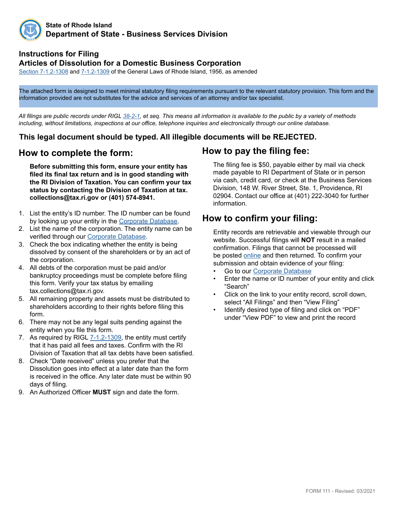

#### **State of Rhode Island Department of State - Business Services Division**

#### **Instructions for Filing Articles of Dissolution for a Domestic Business Corporation**

Sectio[n 7-1.2-](http://webserver.rilin.state.ri.us/Statutes/TITLE7/7-1.2/7-1.2-1308.HTM-1.2/7-1.2-1301.HTM)1308 and [7-1.2-1309](http://webserver.rilin.state.ri.us/Statutes/TITLE7/7-1.2/7-1.2-1309.HTM) of the General Laws of Rhode Island, 1956, as amended

The attached form is designed to meet minimal statutory filing requirements pursuant to the relevant statutory provision. This form and the information provided are not substitutes for the advice and services of an attorney and/or tax specialist.

*All filings are public records under RIGL [38-2-1](http://webserver.rilin.state.ri.us/Statutes/TITLE38/38-2/38-2-1.HTM), et seq. This means all information is available to the public by a variety of methods including, without limitations, inspections at our office, telephone inquiries and electronically through our online database.*

#### **This legal document should be typed. All illegible documents will be REJECTED.**

#### **How to complete the form:**

**Before submitting this form, ensure your entity has filed its final tax return and is in good standing with the RI Division of Taxation. You can confirm your tax status by contacting the Division of Taxation at tax. collections@tax.ri.gov or (401) 574-8941.**

- 1. List the entity's ID number. The ID number can be found by looking up your entity in the [Corporate Database](http://business.sos.ri.gov/corpweb/corpsearch/corpsearch.aspx).
- 2. List the name of the corporation. The entity name can be verified through our [Corporate Database](http://business.sos.ri.gov/corpweb/corpsearch/corpsearch.aspx).
- 3. Check the box indicating whether the entity is being dissolved by consent of the shareholders or by an act of the corporation.
- 4. All debts of the corporation must be paid and/or bankruptcy proceedings must be complete before filing this form. Verify your tax status by emailing tax.collections@tax.ri.gov.
- 5. All remaining property and assets must be distributed to shareholders according to their rights before filing this form.
- 6. There may not be any legal suits pending against the entity when you file this form.
- 7. As required by [RIGL 7-1.2-1309](http://webserver.rilin.state.ri.us/Statutes/TITLE7/7-1.2/7-1.2-1309.HTM), the entity must certify that it has paid all fees and taxes. Confirm with the RI Division of Taxation that all tax debts have been satisfied.
- 8. Check "Date received" unless you prefer that the Dissolution goes into effect at a later date than the form is received in the office. Any later date must be within 90 days of filing.
- 9. An Authorized Officer **MUST** sign and date the form.

### **How to pay the filing fee:**

The filing fee is \$50, payable either by mail via check made payable to RI Department of State or in person via cash, credit card, or check at the Business Services Division, 148 W. River Street, Ste. 1, Providence, RI 02904. Contact our office at (401) 222-3040 for further information.

### **How to confirm your filing:**

Entity records are retrievable and viewable through our website. Successful filings will **NOT** result in a mailed confirmation. Filings that cannot be processed will be posted [online](http://business.sos.ri.gov/corpreject/corprejectionslist.asp) and then returned. To confirm your submission and obtain evidence of your filing:

- Go to our [Corporate Database](http://business.sos.ri.gov/corpweb/corpsearch/corpsearch.aspx)
- Enter the name or ID number of your entity and click "Search"
- Click on the link to your entity record, scroll down, select "All Filings" and then "View Filing"
- Identify desired type of filing and click on "PDF" under "View PDF" to view and print the record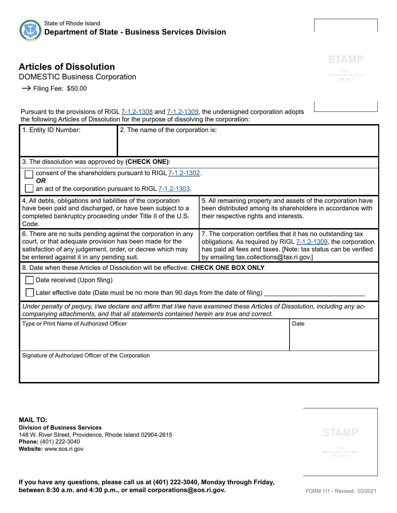

# **Articles of Dissolution**

DOMESTIC Business Corporation

 $\rightarrow$  Filing Fee: \$50.00

Pursuant to the provisions of RIGL [7-1.2-1308](http://webserver.rilin.state.ri.us/Statutes/TITLE7/7-1.2/7-1.2-1308.HTM) and [7-1.2-1309](http://webserver.rilin.state.ri.us/Statutes/TITLE7/7-1.2/7-1.2-1309.HTM), the undersigned corporation adopts the following Articles of Dissolution for the purpose of dissolving the corporation:

| 1. Entity ID Number:                                                                                                                                                                                                               | 2. The name of the corporation is: |                                                                                                                                                                                                                                           |      |  |
|------------------------------------------------------------------------------------------------------------------------------------------------------------------------------------------------------------------------------------|------------------------------------|-------------------------------------------------------------------------------------------------------------------------------------------------------------------------------------------------------------------------------------------|------|--|
| 3. The dissolution was approved by (CHECK ONE):                                                                                                                                                                                    |                                    |                                                                                                                                                                                                                                           |      |  |
| consent of the shareholders pursuant to RIGL 7-1.2-1302.<br><b>OR</b><br>an act of the corporation pursuant to RIGL 7-1.2-1303.                                                                                                    |                                    |                                                                                                                                                                                                                                           |      |  |
| 4. All debts, obligations and liabilities of the corporation<br>have been paid and discharged, or have been subject to a<br>completed bankruptcy proceeding under Title II of the U.S.<br>Code.                                    |                                    | 5. All remaining property and assets of the corporation have<br>been distributed among its shareholders in accordance with<br>their respective rights and interests.                                                                      |      |  |
| 6. There are no suits pending against the corporation in any<br>court, or that adequate provision has been made for the<br>satisfaction of any judgement, order, or decree which may<br>be entered against it in any pending suit. |                                    | 7. The corporation certifies that it has no outstanding tax<br>obligations. As required by RIGL 7-1.2-1309, the corporation<br>has paid all fees and taxes. [Note: tax status can be verified<br>by emailing tax.collections@tax.ri.gov.] |      |  |
| 8. Date when these Articles of Dissolution will be effective: CHECK ONE BOX ONLY                                                                                                                                                   |                                    |                                                                                                                                                                                                                                           |      |  |
| Date received (Upon filing)                                                                                                                                                                                                        |                                    |                                                                                                                                                                                                                                           |      |  |
| Later effective date (Date must be no more than 90 days from the date of filing)                                                                                                                                                   |                                    |                                                                                                                                                                                                                                           |      |  |
| Under penalty of perjury, I/we declare and affirm that I/we have examined these Articles of Dissolution, including any ac-<br>companying attachments, and that all statements contained herein are true and correct.               |                                    |                                                                                                                                                                                                                                           |      |  |
| Type or Print Name of Authorized Officer                                                                                                                                                                                           |                                    |                                                                                                                                                                                                                                           | Date |  |
| Signature of Authorized Officer of the Corporation                                                                                                                                                                                 |                                    |                                                                                                                                                                                                                                           |      |  |

**MAIL TO: Division of Business Services** 148 W. River Street, Providence, Rhode Island 02904-2615 **Phone:** (401) 222-3040 **Website:** www.sos.ri.gov